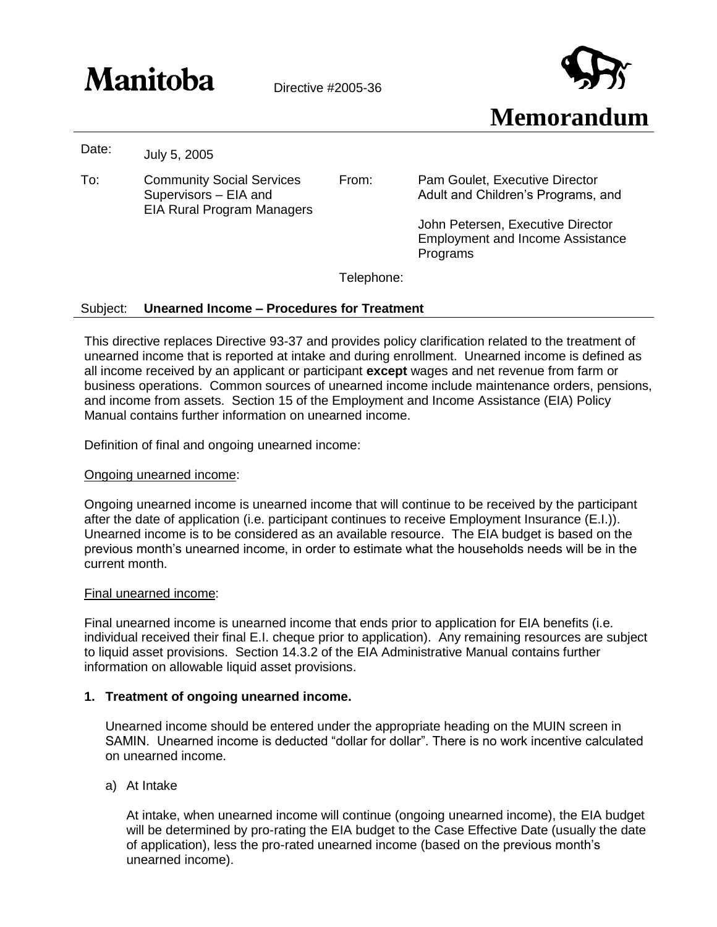# $\mathbf{Manitoba}$  Directive #2005-36



Date: July 5, 2005

To: Community Social Services Supervisors – EIA and EIA Rural Program Managers

From: Pam Goulet, Executive Director Adult and Children's Programs, and

> John Petersen, Executive Director Employment and Income Assistance Programs

Telephone:

## Subject: **Unearned Income – Procedures for Treatment**

This directive replaces Directive 93-37 and provides policy clarification related to the treatment of unearned income that is reported at intake and during enrollment. Unearned income is defined as all income received by an applicant or participant **except** wages and net revenue from farm or business operations. Common sources of unearned income include maintenance orders, pensions, and income from assets. Section 15 of the Employment and Income Assistance (EIA) Policy Manual contains further information on unearned income.

Definition of final and ongoing unearned income:

### Ongoing unearned income:

Ongoing unearned income is unearned income that will continue to be received by the participant after the date of application (i.e. participant continues to receive Employment Insurance (E.I.)). Unearned income is to be considered as an available resource. The EIA budget is based on the previous month's unearned income, in order to estimate what the households needs will be in the current month.

### Final unearned income:

Final unearned income is unearned income that ends prior to application for EIA benefits (i.e. individual received their final E.I. cheque prior to application). Any remaining resources are subject to liquid asset provisions. Section 14.3.2 of the EIA Administrative Manual contains further information on allowable liquid asset provisions.

# **1. Treatment of ongoing unearned income.**

Unearned income should be entered under the appropriate heading on the MUIN screen in SAMIN. Unearned income is deducted "dollar for dollar". There is no work incentive calculated on unearned income.

a) At Intake

At intake, when unearned income will continue (ongoing unearned income), the EIA budget will be determined by pro-rating the EIA budget to the Case Effective Date (usually the date of application), less the pro-rated unearned income (based on the previous month's unearned income).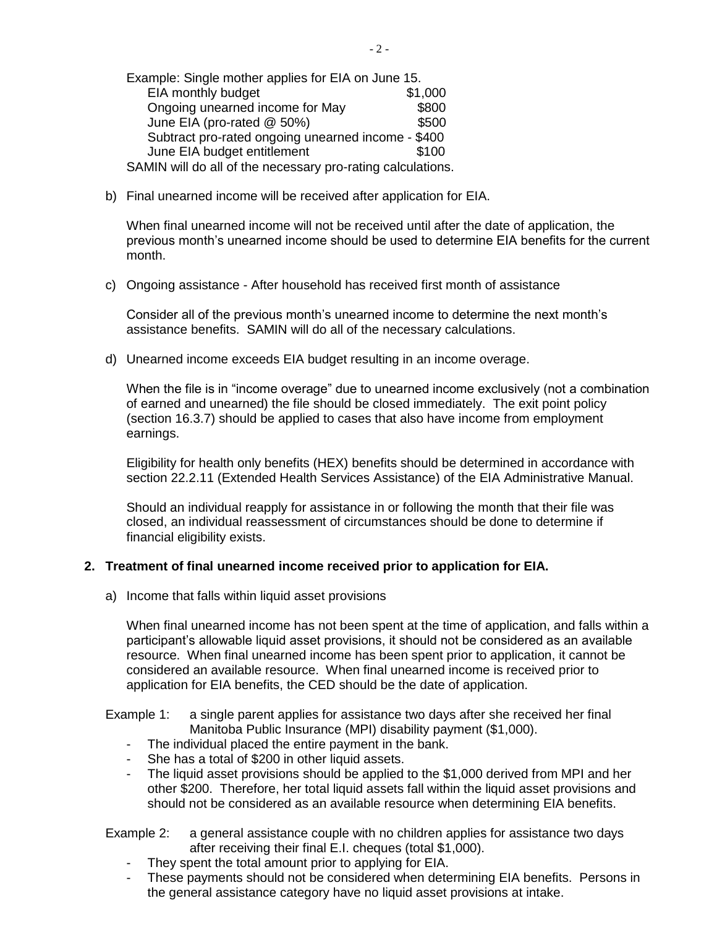Example: Single mother applies for EIA on June 15. EIA monthly budget \$1,000 Ongoing unearned income for May **\$800** June EIA (pro-rated @ 50%) \$500 Subtract pro-rated ongoing unearned income - \$400 June EIA budget entitlement \$100 SAMIN will do all of the necessary pro-rating calculations.

b) Final unearned income will be received after application for EIA.

When final unearned income will not be received until after the date of application, the previous month's unearned income should be used to determine EIA benefits for the current month.

c) Ongoing assistance - After household has received first month of assistance

Consider all of the previous month's unearned income to determine the next month's assistance benefits. SAMIN will do all of the necessary calculations.

d) Unearned income exceeds EIA budget resulting in an income overage.

When the file is in "income overage" due to unearned income exclusively (not a combination of earned and unearned) the file should be closed immediately. The exit point policy (section 16.3.7) should be applied to cases that also have income from employment earnings.

Eligibility for health only benefits (HEX) benefits should be determined in accordance with section 22.2.11 (Extended Health Services Assistance) of the EIA Administrative Manual.

Should an individual reapply for assistance in or following the month that their file was closed, an individual reassessment of circumstances should be done to determine if financial eligibility exists.

# **2. Treatment of final unearned income received prior to application for EIA.**

a) Income that falls within liquid asset provisions

When final unearned income has not been spent at the time of application, and falls within a participant's allowable liquid asset provisions, it should not be considered as an available resource. When final unearned income has been spent prior to application, it cannot be considered an available resource. When final unearned income is received prior to application for EIA benefits, the CED should be the date of application.

Example 1: a single parent applies for assistance two days after she received her final Manitoba Public Insurance (MPI) disability payment (\$1,000).

- The individual placed the entire payment in the bank.
- She has a total of \$200 in other liquid assets.
- The liquid asset provisions should be applied to the \$1,000 derived from MPI and her other \$200. Therefore, her total liquid assets fall within the liquid asset provisions and should not be considered as an available resource when determining EIA benefits.

## Example 2: a general assistance couple with no children applies for assistance two days after receiving their final E.I. cheques (total \$1,000).

- They spent the total amount prior to applying for EIA.
- These payments should not be considered when determining EIA benefits. Persons in the general assistance category have no liquid asset provisions at intake.